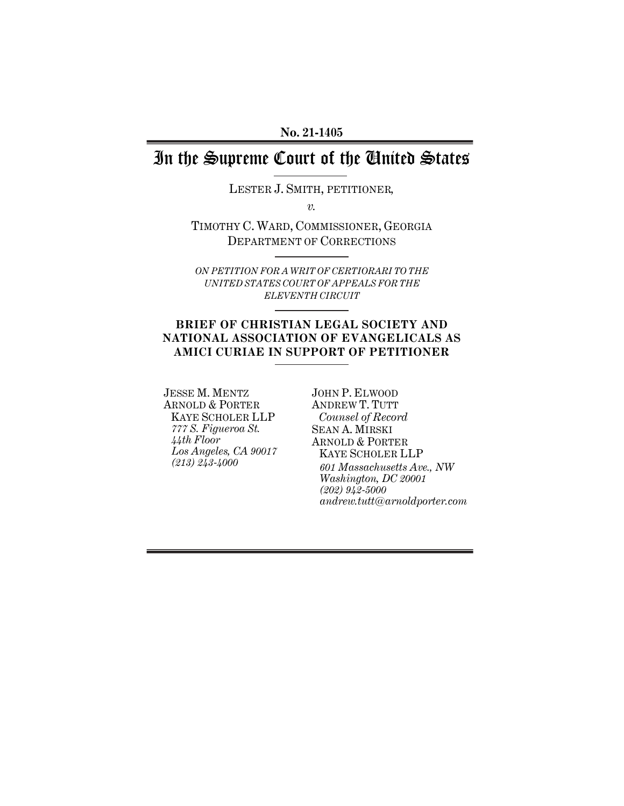# In the Supreme Court of the United States

LESTER J. SMITH, PETITIONER*,*

*v.* 

TIMOTHY C. WARD, COMMISSIONER, GEORGIA DEPARTMENT OF CORRECTIONS

*ON PETITION FOR A WRIT OF CERTIORARI TO THE UNITED STATES COURT OF APPEALS FOR THE ELEVENTH CIRCUIT*

## **BRIEF OF CHRISTIAN LEGAL SOCIETY AND NATIONAL ASSOCIATION OF EVANGELICALS AS AMICI CURIAE IN SUPPORT OF PETITIONER**

JESSE M. MENTZ ARNOLD & PORTER KAYE SCHOLER LLP *777 S. Figueroa St. 44th Floor Los Angeles, CA 90017 (213) 243-4000* 

JOHN P. ELWOOD ANDREW T. TUTT *Counsel of Record* SEAN A. MIRSKI ARNOLD & PORTER KAYE SCHOLER LLP *601 Massachusetts Ave., NW Washington, DC 20001 (202) 942-5000 andrew.tutt@arnoldporter.com*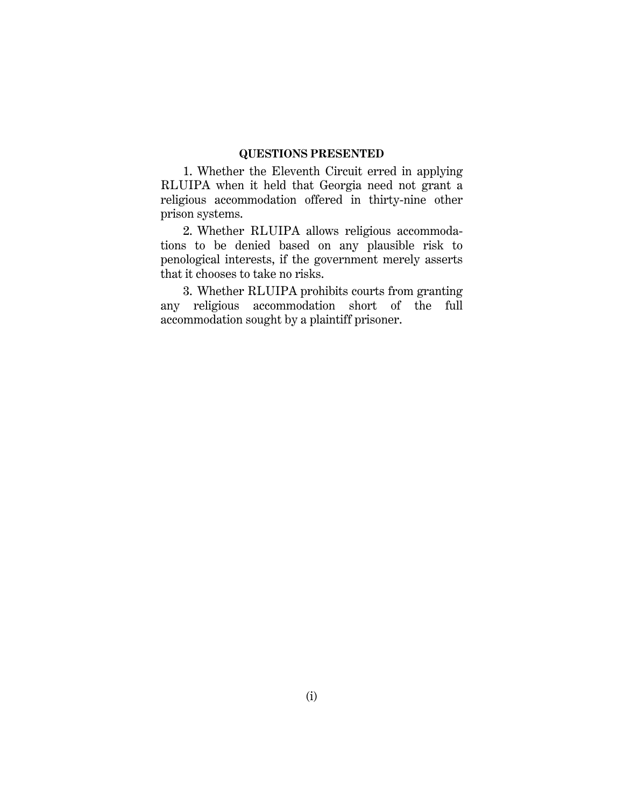#### **QUESTIONS PRESENTED**

1. Whether the Eleventh Circuit erred in applying RLUIPA when it held that Georgia need not grant a religious accommodation offered in thirty-nine other prison systems.

2. Whether RLUIPA allows religious accommodations to be denied based on any plausible risk to penological interests, if the government merely asserts that it chooses to take no risks.

3. Whether RLUIPA prohibits courts from granting any religious accommodation short of the full accommodation sought by a plaintiff prisoner.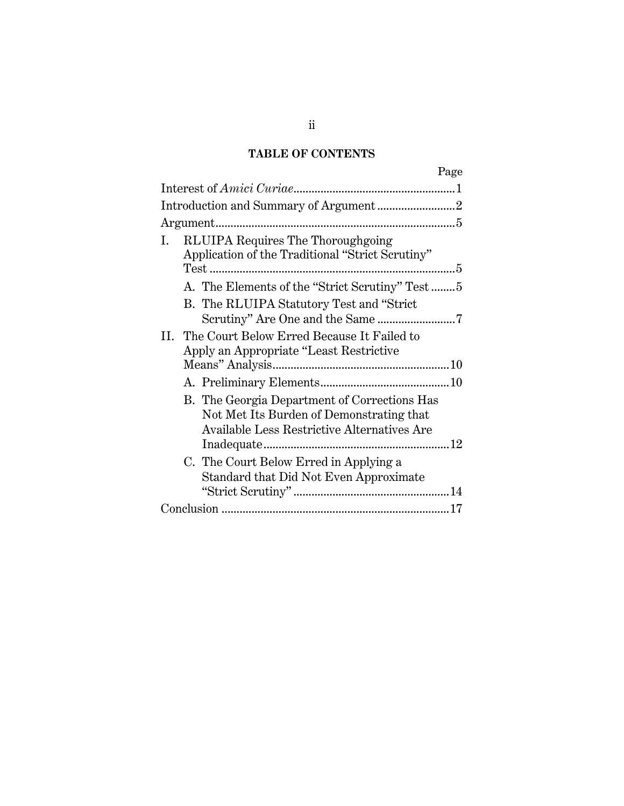# **TABLE OF CONTENTS**

| Page                                                                                                                                    |  |
|-----------------------------------------------------------------------------------------------------------------------------------------|--|
|                                                                                                                                         |  |
| Introduction and Summary of Argument2                                                                                                   |  |
|                                                                                                                                         |  |
| RLUIPA Requires The Thoroughgoing<br>I.<br>Application of the Traditional "Strict Scrutiny"                                             |  |
| A. The Elements of the "Strict Scrutiny" Test5                                                                                          |  |
| B. The RLUIPA Statutory Test and "Strict"                                                                                               |  |
| The Court Below Erred Because It Failed to<br>$\Pi$ .<br>Apply an Appropriate "Least Restrictive"                                       |  |
|                                                                                                                                         |  |
| B. The Georgia Department of Corrections Has<br>Not Met Its Burden of Demonstrating that<br>Available Less Restrictive Alternatives Are |  |
| C. The Court Below Erred in Applying a<br>Standard that Did Not Even Approximate                                                        |  |
|                                                                                                                                         |  |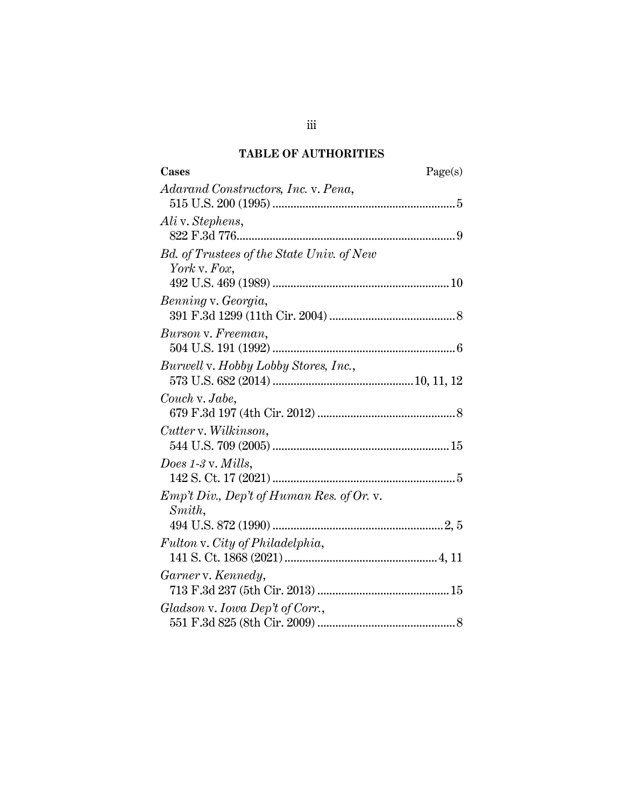# **TABLE OF AUTHORITIES**

| Cases                                                     | Page(s) |
|-----------------------------------------------------------|---------|
| Adarand Constructors, Inc. v. Pena,                       |         |
| Ali v. Stephens,                                          |         |
| Bd. of Trustees of the State Univ. of New<br>York v. Fox, |         |
| Benning v. Georgia,                                       |         |
| Burson v. Freeman,                                        |         |
| Burwell v. Hobby Lobby Stores, Inc.,                      |         |
| Couch v. Jabe,                                            |         |
| Cutter v. Wilkinson,                                      |         |
| Does $1-3$ v. Mills,                                      |         |
| $Emp't Div, Dep't of Human Res. of Or. v.$<br>Smith,      |         |
| Fulton v. City of Philadelphia,                           |         |
| Garner v. Kennedy,                                        |         |
| Gladson v. Iowa Dep't of Corr.,                           |         |
|                                                           |         |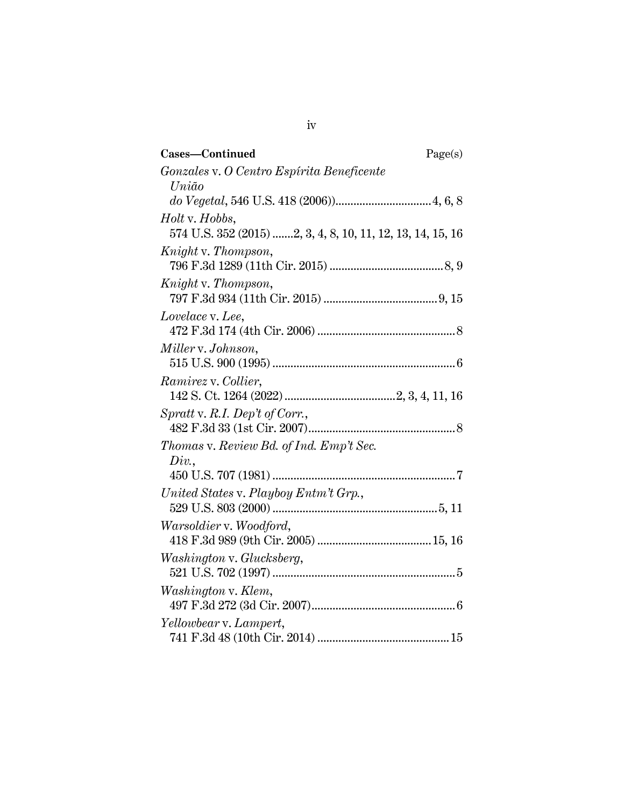| Cases-Continued                                            | Page(s) |
|------------------------------------------------------------|---------|
| Gonzales v. O Centro Espírita Beneficente<br>União         |         |
|                                                            |         |
| Holt v. Hobbs,                                             |         |
| 574 U.S. 352 (2015) 2, 3, 4, 8, 10, 11, 12, 13, 14, 15, 16 |         |
| Knight v. Thompson,                                        |         |
| Knight v. Thompson,                                        |         |
|                                                            |         |
| Lovelace v. Lee,                                           |         |
|                                                            |         |
| Miller v. Johnson,                                         |         |
|                                                            |         |
| <i>Ramirez v. Collier,</i>                                 |         |
|                                                            |         |
| Spratt v. R.I. Dep't of Corr.                              |         |
|                                                            |         |
| Thomas v. Review Bd. of Ind. Emp't Sec.<br>Div.            |         |
|                                                            |         |
| United States v. Playboy Entm't Grp.,                      |         |
|                                                            |         |
| Warsoldier v. Woodford,                                    |         |
|                                                            |         |
| Washington v. Glucksberg,                                  |         |
|                                                            |         |
| Washington v. Klem,                                        |         |
|                                                            |         |
| Yellowbear v. Lampert,                                     |         |
|                                                            |         |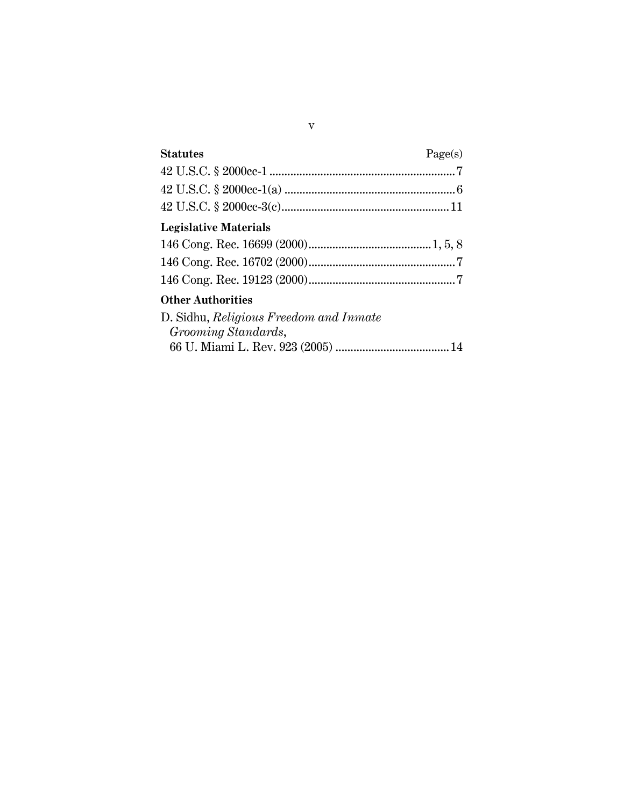| <b>Statutes</b>                        | Page(s) |
|----------------------------------------|---------|
|                                        |         |
|                                        |         |
|                                        |         |
| <b>Legislative Materials</b>           |         |
|                                        |         |
|                                        |         |
|                                        |         |
| <b>Other Authorities</b>               |         |
| D. Sidhu, Religious Freedom and Inmate |         |
| Grooming Standards,                    |         |

66 U. Miami L. Rev. 923 (2005) ...................................... 14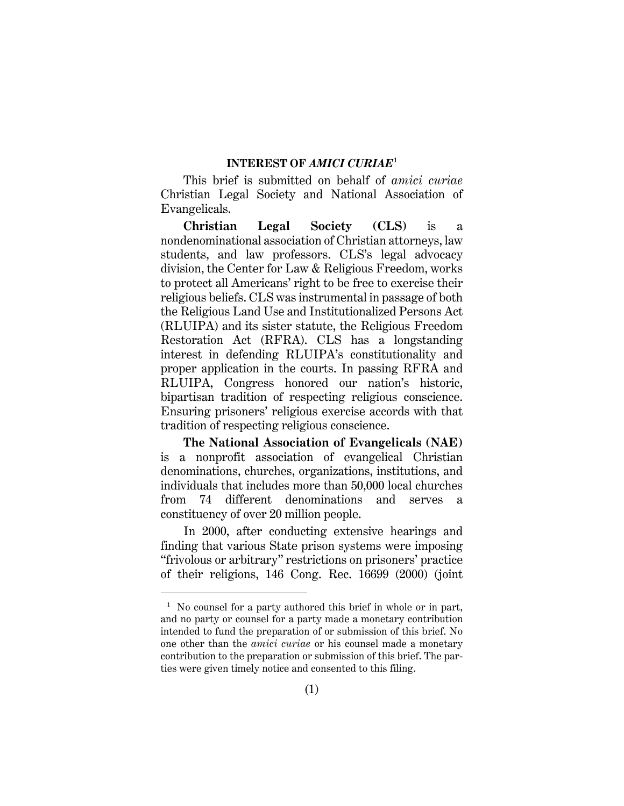#### **INTEREST OF** *AMICI CURIAE***<sup>1</sup>**

This brief is submitted on behalf of *amici curiae* Christian Legal Society and National Association of Evangelicals.

**Christian Legal Society (CLS)** is a nondenominational association of Christian attorneys, law students, and law professors. CLS's legal advocacy division, the Center for Law & Religious Freedom, works to protect all Americans' right to be free to exercise their religious beliefs. CLS was instrumental in passage of both the Religious Land Use and Institutionalized Persons Act (RLUIPA) and its sister statute, the Religious Freedom Restoration Act (RFRA). CLS has a longstanding interest in defending RLUIPA's constitutionality and proper application in the courts. In passing RFRA and RLUIPA, Congress honored our nation's historic, bipartisan tradition of respecting religious conscience. Ensuring prisoners' religious exercise accords with that tradition of respecting religious conscience.

**The National Association of Evangelicals (NAE)** is a nonprofit association of evangelical Christian denominations, churches, organizations, institutions, and individuals that includes more than 50,000 local churches from 74 different denominations and serves a constituency of over 20 million people.

In 2000, after conducting extensive hearings and finding that various State prison systems were imposing "frivolous or arbitrary" restrictions on prisoners' practice of their religions, 146 Cong. Rec. 16699 (2000) (joint

<sup>&</sup>lt;sup>1</sup> No counsel for a party authored this brief in whole or in part, and no party or counsel for a party made a monetary contribution intended to fund the preparation of or submission of this brief. No one other than the *amici curiae* or his counsel made a monetary contribution to the preparation or submission of this brief. The parties were given timely notice and consented to this filing.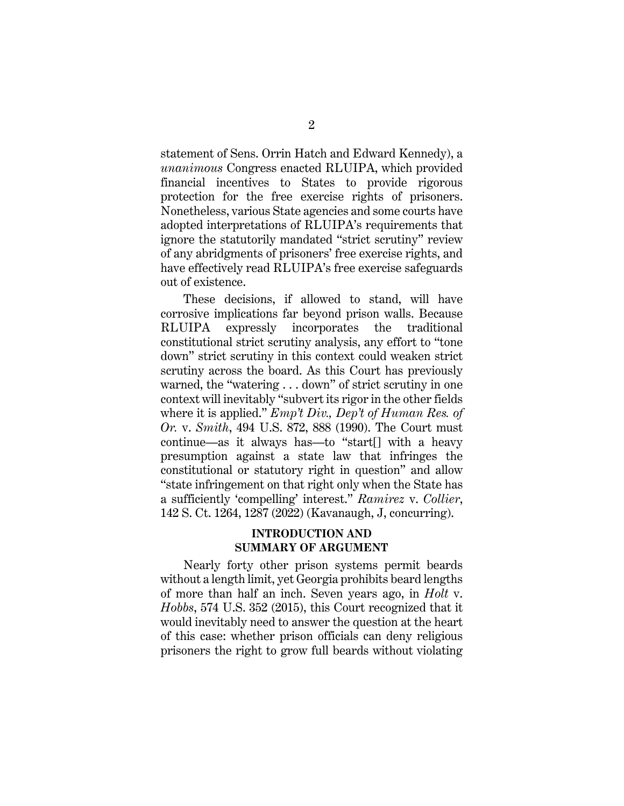statement of Sens. Orrin Hatch and Edward Kennedy), a *unanimous* Congress enacted RLUIPA, which provided financial incentives to States to provide rigorous protection for the free exercise rights of prisoners. Nonetheless, various State agencies and some courts have adopted interpretations of RLUIPA's requirements that ignore the statutorily mandated "strict scrutiny" review of any abridgments of prisoners' free exercise rights, and have effectively read RLUIPA's free exercise safeguards out of existence.

These decisions, if allowed to stand, will have corrosive implications far beyond prison walls. Because RLUIPA expressly incorporates the traditional constitutional strict scrutiny analysis, any effort to "tone down" strict scrutiny in this context could weaken strict scrutiny across the board. As this Court has previously warned, the "watering . . . down" of strict scrutiny in one context will inevitably "subvert its rigor in the other fields where it is applied." *Emp't Div., Dep't of Human Res. of Or.* v. *Smith*, 494 U.S. 872, 888 (1990). The Court must continue—as it always has—to "start[] with a heavy presumption against a state law that infringes the constitutional or statutory right in question" and allow "state infringement on that right only when the State has a sufficiently 'compelling' interest." *Ramirez* v. *Collier*, 142 S. Ct. 1264, 1287 (2022) (Kavanaugh, J, concurring).

## **INTRODUCTION AND SUMMARY OF ARGUMENT**

Nearly forty other prison systems permit beards without a length limit, yet Georgia prohibits beard lengths of more than half an inch. Seven years ago, in *Holt* v. *Hobbs*, 574 U.S. 352 (2015), this Court recognized that it would inevitably need to answer the question at the heart of this case: whether prison officials can deny religious prisoners the right to grow full beards without violating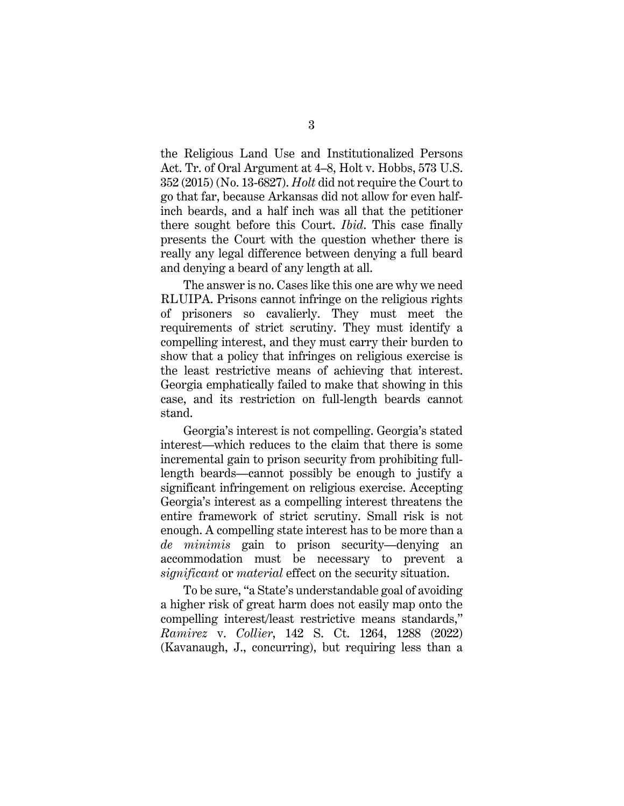the Religious Land Use and Institutionalized Persons Act. Tr. of Oral Argument at 4–8, Holt v. Hobbs, 573 U.S. 352 (2015) (No. 13-6827). *Holt* did not require the Court to go that far, because Arkansas did not allow for even halfinch beards, and a half inch was all that the petitioner there sought before this Court. *Ibid*. This case finally presents the Court with the question whether there is really any legal difference between denying a full beard and denying a beard of any length at all.

The answer is no. Cases like this one are why we need RLUIPA. Prisons cannot infringe on the religious rights of prisoners so cavalierly. They must meet the requirements of strict scrutiny. They must identify a compelling interest, and they must carry their burden to show that a policy that infringes on religious exercise is the least restrictive means of achieving that interest. Georgia emphatically failed to make that showing in this case, and its restriction on full-length beards cannot stand.

Georgia's interest is not compelling. Georgia's stated interest—which reduces to the claim that there is some incremental gain to prison security from prohibiting fulllength beards—cannot possibly be enough to justify a significant infringement on religious exercise. Accepting Georgia's interest as a compelling interest threatens the entire framework of strict scrutiny. Small risk is not enough. A compelling state interest has to be more than a *de minimis* gain to prison security—denying an accommodation must be necessary to prevent a *significant* or *material* effect on the security situation.

To be sure, "a State's understandable goal of avoiding a higher risk of great harm does not easily map onto the compelling interest/least restrictive means standards," *Ramirez* v. *Collier*, 142 S. Ct. 1264, 1288 (2022) (Kavanaugh, J., concurring), but requiring less than a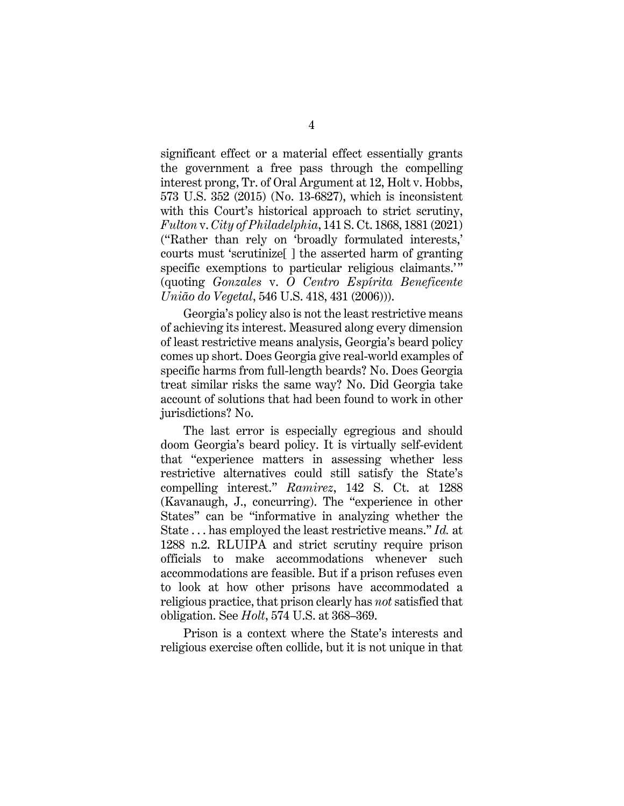significant effect or a material effect essentially grants the government a free pass through the compelling interest prong, Tr. of Oral Argument at 12, Holt v. Hobbs, 573 U.S. 352 (2015) (No. 13-6827), which is inconsistent with this Court's historical approach to strict scrutiny, *Fulton* v. *City of Philadelphia*, 141 S. Ct. 1868, 1881 (2021) ("Rather than rely on 'broadly formulated interests,' courts must 'scrutinize[ ] the asserted harm of granting specific exemptions to particular religious claimants.'" (quoting *Gonzales* v. *O Centro Espírita Beneficente União do Vegetal*, 546 U.S. 418, 431 (2006))).

Georgia's policy also is not the least restrictive means of achieving its interest. Measured along every dimension of least restrictive means analysis, Georgia's beard policy comes up short. Does Georgia give real-world examples of specific harms from full-length beards? No. Does Georgia treat similar risks the same way? No. Did Georgia take account of solutions that had been found to work in other jurisdictions? No.

The last error is especially egregious and should doom Georgia's beard policy. It is virtually self-evident that "experience matters in assessing whether less restrictive alternatives could still satisfy the State's compelling interest." *Ramirez*, 142 S. Ct. at 1288 (Kavanaugh, J., concurring). The "experience in other States" can be "informative in analyzing whether the State . . . has employed the least restrictive means." *Id.* at 1288 n.2. RLUIPA and strict scrutiny require prison officials to make accommodations whenever such accommodations are feasible. But if a prison refuses even to look at how other prisons have accommodated a religious practice, that prison clearly has *not* satisfied that obligation. See *Holt*, 574 U.S. at 368–369.

Prison is a context where the State's interests and religious exercise often collide, but it is not unique in that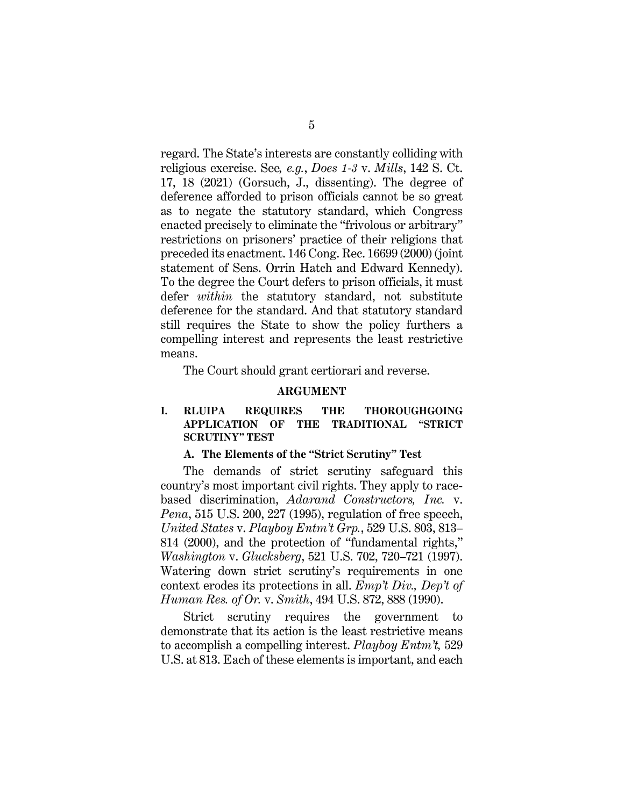regard. The State's interests are constantly colliding with religious exercise. See*, e.g.*, *Does 1-3* v. *Mills*, 142 S. Ct. 17, 18 (2021) (Gorsuch, J., dissenting). The degree of deference afforded to prison officials cannot be so great as to negate the statutory standard, which Congress enacted precisely to eliminate the "frivolous or arbitrary" restrictions on prisoners' practice of their religions that preceded its enactment. 146 Cong. Rec. 16699 (2000) (joint statement of Sens. Orrin Hatch and Edward Kennedy). To the degree the Court defers to prison officials, it must defer *within* the statutory standard, not substitute deference for the standard. And that statutory standard still requires the State to show the policy furthers a compelling interest and represents the least restrictive means.

The Court should grant certiorari and reverse.

#### **ARGUMENT**

#### **I. RLUIPA REQUIRES THE THOROUGHGOING APPLICATION OF THE TRADITIONAL "STRICT SCRUTINY" TEST**

#### **A. The Elements of the "Strict Scrutiny" Test**

The demands of strict scrutiny safeguard this country's most important civil rights. They apply to racebased discrimination, *Adarand Constructors, Inc.* v. *Pena*, 515 U.S. 200, 227 (1995), regulation of free speech, *United States* v. *Playboy Entm't Grp.*, 529 U.S. 803, 813– 814 (2000), and the protection of "fundamental rights," *Washington* v. *Glucksberg*, 521 U.S. 702, 720–721 (1997). Watering down strict scrutiny's requirements in one context erodes its protections in all. *Emp't Div., Dep't of Human Res. of Or.* v. *Smith*, 494 U.S. 872, 888 (1990).

Strict scrutiny requires the government to demonstrate that its action is the least restrictive means to accomplish a compelling interest. *Playboy Entm't,* 529 U.S. at 813. Each of these elements is important, and each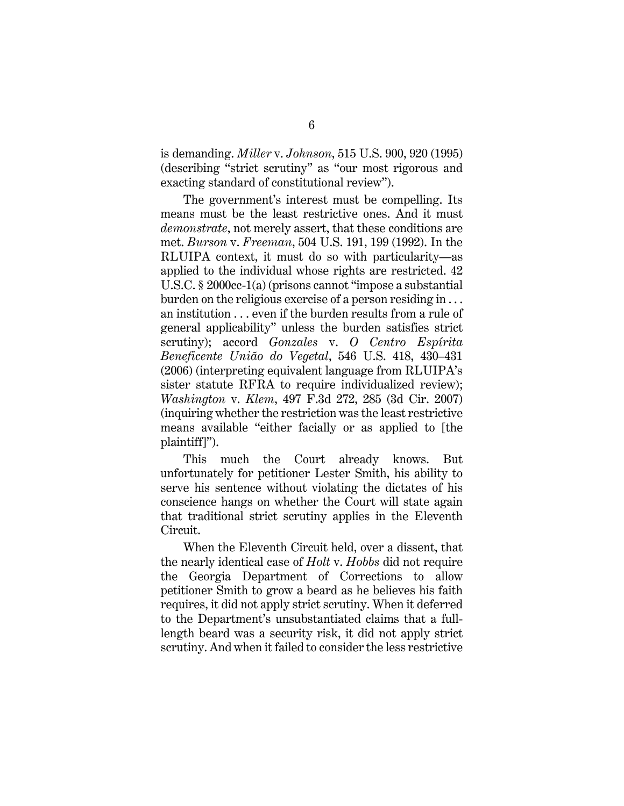is demanding. *Miller* v. *Johnson*, 515 U.S. 900, 920 (1995) (describing "strict scrutiny" as "our most rigorous and exacting standard of constitutional review").

The government's interest must be compelling. Its means must be the least restrictive ones. And it must *demonstrate*, not merely assert, that these conditions are met. *Burson* v. *Freeman*, 504 U.S. 191, 199 (1992). In the RLUIPA context, it must do so with particularity—as applied to the individual whose rights are restricted. 42 U.S.C. § 2000cc-1(a) (prisons cannot "impose a substantial burden on the religious exercise of a person residing in . . . an institution . . . even if the burden results from a rule of general applicability" unless the burden satisfies strict scrutiny); accord *Gonzales* v. *O Centro Espírita Beneficente União do Vegetal*, 546 U.S. 418, 430–431 (2006) (interpreting equivalent language from RLUIPA's sister statute RFRA to require individualized review); *Washington* v. *Klem*, 497 F.3d 272, 285 (3d Cir. 2007) (inquiring whether the restriction was the least restrictive means available "either facially or as applied to [the plaintiff]").

This much the Court already knows. But unfortunately for petitioner Lester Smith, his ability to serve his sentence without violating the dictates of his conscience hangs on whether the Court will state again that traditional strict scrutiny applies in the Eleventh Circuit.

When the Eleventh Circuit held, over a dissent, that the nearly identical case of *Holt* v. *Hobbs* did not require the Georgia Department of Corrections to allow petitioner Smith to grow a beard as he believes his faith requires, it did not apply strict scrutiny. When it deferred to the Department's unsubstantiated claims that a fulllength beard was a security risk, it did not apply strict scrutiny. And when it failed to consider the less restrictive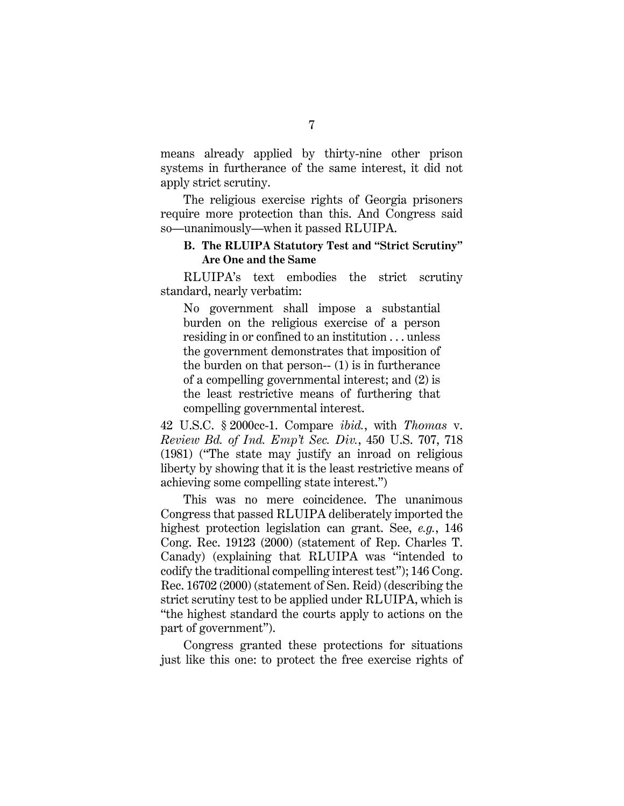means already applied by thirty-nine other prison systems in furtherance of the same interest, it did not apply strict scrutiny.

The religious exercise rights of Georgia prisoners require more protection than this. And Congress said so—unanimously—when it passed RLUIPA.

#### **B. The RLUIPA Statutory Test and "Strict Scrutiny" Are One and the Same**

RLUIPA's text embodies the strict scrutiny standard, nearly verbatim:

No government shall impose a substantial burden on the religious exercise of a person residing in or confined to an institution . . . unless the government demonstrates that imposition of the burden on that person-- (1) is in furtherance of a compelling governmental interest; and (2) is the least restrictive means of furthering that compelling governmental interest.

42 U.S.C. § 2000cc-1. Compare *ibid.*, with *Thomas* v. *Review Bd. of Ind. Emp't Sec. Div.*, 450 U.S. 707, 718 (1981) ("The state may justify an inroad on religious liberty by showing that it is the least restrictive means of achieving some compelling state interest.")

This was no mere coincidence. The unanimous Congress that passed RLUIPA deliberately imported the highest protection legislation can grant. See, *e.g.*, 146 Cong. Rec. 19123 (2000) (statement of Rep. Charles T. Canady) (explaining that RLUIPA was "intended to codify the traditional compelling interest test"); 146 Cong. Rec. 16702 (2000) (statement of Sen. Reid) (describing the strict scrutiny test to be applied under RLUIPA, which is "the highest standard the courts apply to actions on the part of government").

Congress granted these protections for situations just like this one: to protect the free exercise rights of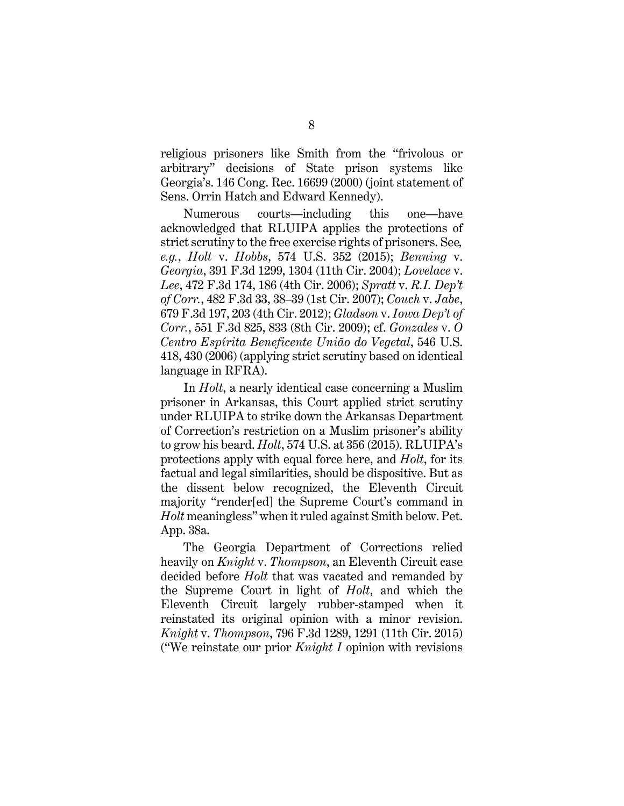religious prisoners like Smith from the "frivolous or arbitrary" decisions of State prison systems like Georgia's. 146 Cong. Rec. 16699 (2000) (joint statement of Sens. Orrin Hatch and Edward Kennedy).

Numerous courts—including this one—have acknowledged that RLUIPA applies the protections of strict scrutiny to the free exercise rights of prisoners. See*, e.g.*, *Holt* v. *Hobbs*, 574 U.S. 352 (2015); *Benning* v. *Georgia*, 391 F.3d 1299, 1304 (11th Cir. 2004); *Lovelace* v. *Lee*, 472 F.3d 174, 186 (4th Cir. 2006); *Spratt* v. *R.I. Dep't of Corr.*, 482 F.3d 33, 38–39 (1st Cir. 2007); *Couch* v. *Jabe*, 679 F.3d 197, 203 (4th Cir. 2012); *Gladson* v. *Iowa Dep't of Corr.*, 551 F.3d 825, 833 (8th Cir. 2009); cf. *Gonzales* v. *O Centro Espírita Beneficente União do Vegetal*, 546 U.S. 418, 430 (2006) (applying strict scrutiny based on identical language in RFRA).

In *Holt*, a nearly identical case concerning a Muslim prisoner in Arkansas, this Court applied strict scrutiny under RLUIPA to strike down the Arkansas Department of Correction's restriction on a Muslim prisoner's ability to grow his beard. *Holt*, 574 U.S. at 356 (2015). RLUIPA's protections apply with equal force here, and *Holt*, for its factual and legal similarities, should be dispositive. But as the dissent below recognized, the Eleventh Circuit majority "render[ed] the Supreme Court's command in *Holt* meaningless" when it ruled against Smith below. Pet. App. 38a.

The Georgia Department of Corrections relied heavily on *Knight* v. *Thompson*, an Eleventh Circuit case decided before *Holt* that was vacated and remanded by the Supreme Court in light of *Holt*, and which the Eleventh Circuit largely rubber-stamped when it reinstated its original opinion with a minor revision. *Knight* v. *Thompson*, 796 F.3d 1289, 1291 (11th Cir. 2015) ("We reinstate our prior *Knight I* opinion with revisions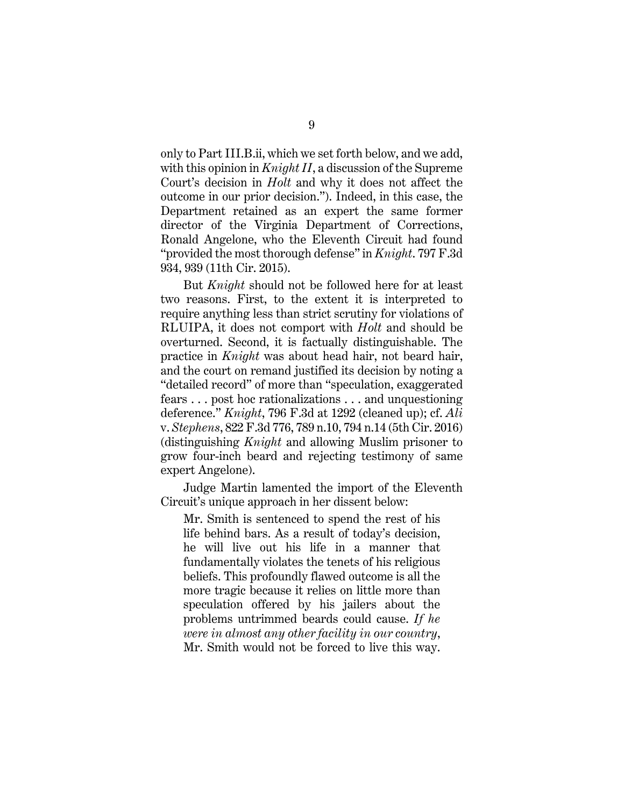only to Part III.B.ii, which we set forth below, and we add, with this opinion in *Knight II*, a discussion of the Supreme Court's decision in *Holt* and why it does not affect the outcome in our prior decision."). Indeed, in this case, the Department retained as an expert the same former director of the Virginia Department of Corrections, Ronald Angelone, who the Eleventh Circuit had found "provided the most thorough defense" in *Knight*. 797 F.3d 934, 939 (11th Cir. 2015).

But *Knight* should not be followed here for at least two reasons. First, to the extent it is interpreted to require anything less than strict scrutiny for violations of RLUIPA, it does not comport with *Holt* and should be overturned. Second, it is factually distinguishable. The practice in *Knight* was about head hair, not beard hair, and the court on remand justified its decision by noting a "detailed record" of more than "speculation, exaggerated fears . . . post hoc rationalizations . . . and unquestioning deference." *Knight*, 796 F.3d at 1292 (cleaned up); cf. *Ali*  v. *Stephens*, 822 F.3d 776, 789 n.10, 794 n.14 (5th Cir. 2016) (distinguishing *Knight* and allowing Muslim prisoner to grow four-inch beard and rejecting testimony of same expert Angelone).

Judge Martin lamented the import of the Eleventh Circuit's unique approach in her dissent below:

Mr. Smith is sentenced to spend the rest of his life behind bars. As a result of today's decision, he will live out his life in a manner that fundamentally violates the tenets of his religious beliefs. This profoundly flawed outcome is all the more tragic because it relies on little more than speculation offered by his jailers about the problems untrimmed beards could cause. *If he were in almost any other facility in our country*, Mr. Smith would not be forced to live this way.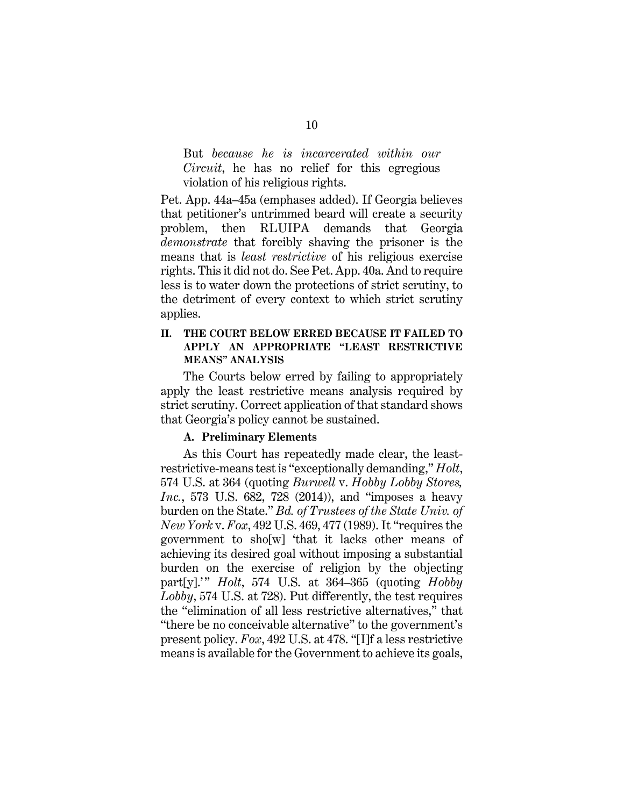But *because he is incarcerated within our Circuit*, he has no relief for this egregious violation of his religious rights.

Pet. App. 44a–45a (emphases added). If Georgia believes that petitioner's untrimmed beard will create a security problem, then RLUIPA demands that Georgia *demonstrate* that forcibly shaving the prisoner is the means that is *least restrictive* of his religious exercise rights. This it did not do. See Pet. App. 40a. And to require less is to water down the protections of strict scrutiny, to the detriment of every context to which strict scrutiny applies.

#### **II. THE COURT BELOW ERRED BECAUSE IT FAILED TO APPLY AN APPROPRIATE "LEAST RESTRICTIVE MEANS" ANALYSIS**

The Courts below erred by failing to appropriately apply the least restrictive means analysis required by strict scrutiny. Correct application of that standard shows that Georgia's policy cannot be sustained.

#### **A. Preliminary Elements**

As this Court has repeatedly made clear, the leastrestrictive-means test is "exceptionally demanding," *Holt*, 574 U.S. at 364 (quoting *Burwell* v. *Hobby Lobby Stores, Inc.*, 573 U.S. 682, 728 (2014)), and "imposes a heavy burden on the State." *Bd. of Trustees of the State Univ. of New York* v. *Fox*, 492 U.S. 469, 477 (1989). It "requires the government to sho[w] 'that it lacks other means of achieving its desired goal without imposing a substantial burden on the exercise of religion by the objecting part[y].'" *Holt*, 574 U.S. at 364–365 (quoting *Hobby Lobby*, 574 U.S. at 728). Put differently, the test requires the "elimination of all less restrictive alternatives," that "there be no conceivable alternative" to the government's present policy. *Fox*, 492 U.S. at 478. "[I]f a less restrictive means is available for the Government to achieve its goals,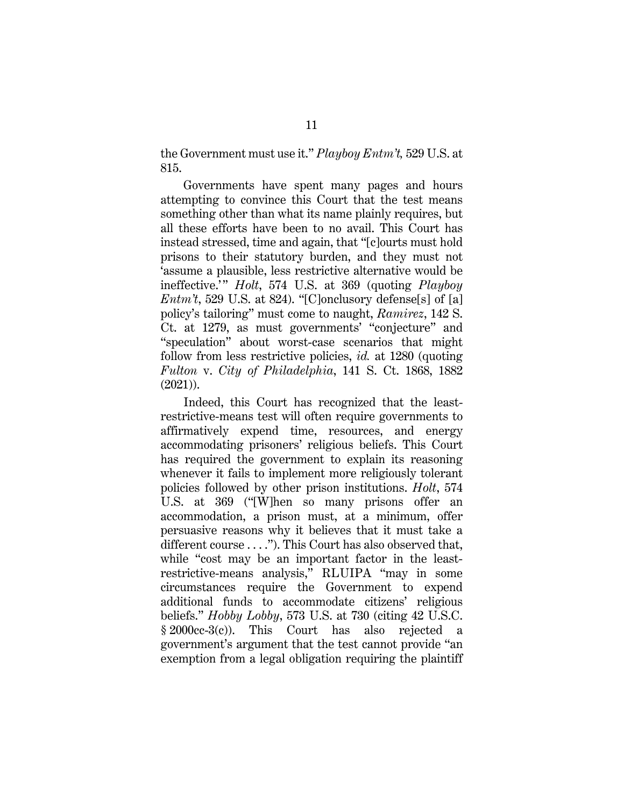the Government must use it." *Playboy Entm't,* 529 U.S. at 815.

Governments have spent many pages and hours attempting to convince this Court that the test means something other than what its name plainly requires, but all these efforts have been to no avail. This Court has instead stressed, time and again, that "[c]ourts must hold prisons to their statutory burden, and they must not 'assume a plausible, less restrictive alternative would be ineffective.'" *Holt*, 574 U.S. at 369 (quoting *Playboy Entm't*, 529 U.S. at 824). "[C]onclusory defense[s] of [a] policy's tailoring" must come to naught, *Ramirez*, 142 S. Ct. at 1279, as must governments' "conjecture" and "speculation" about worst-case scenarios that might follow from less restrictive policies, *id.* at 1280 (quoting *Fulton* v. *City of Philadelphia*, 141 S. Ct. 1868, 1882 (2021)).

Indeed, this Court has recognized that the leastrestrictive-means test will often require governments to affirmatively expend time, resources, and energy accommodating prisoners' religious beliefs. This Court has required the government to explain its reasoning whenever it fails to implement more religiously tolerant policies followed by other prison institutions. *Holt*, 574 U.S. at 369 ("[W]hen so many prisons offer an accommodation, a prison must, at a minimum, offer persuasive reasons why it believes that it must take a different course . . . . "). This Court has also observed that, while "cost may be an important factor in the leastrestrictive-means analysis," RLUIPA "may in some circumstances require the Government to expend additional funds to accommodate citizens' religious beliefs." *Hobby Lobby*, 573 U.S. at 730 (citing 42 U.S.C. § 2000cc-3(c)). This Court has also rejected a government's argument that the test cannot provide "an exemption from a legal obligation requiring the plaintiff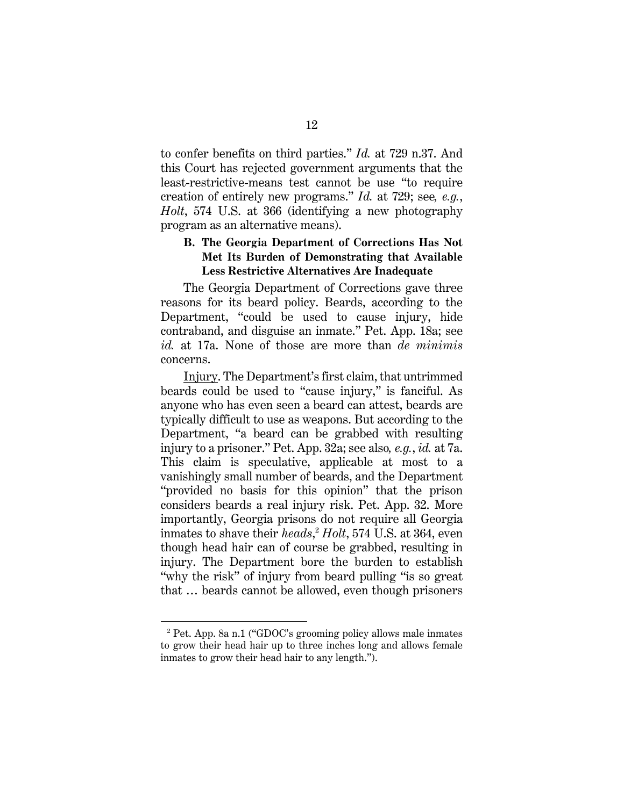to confer benefits on third parties." *Id.* at 729 n.37. And this Court has rejected government arguments that the least-restrictive-means test cannot be use "to require creation of entirely new programs." *Id.* at 729; see*, e.g.*, *Holt*, 574 U.S. at 366 (identifying a new photography program as an alternative means).

## **B. The Georgia Department of Corrections Has Not Met Its Burden of Demonstrating that Available Less Restrictive Alternatives Are Inadequate**

The Georgia Department of Corrections gave three reasons for its beard policy. Beards, according to the Department, "could be used to cause injury, hide contraband, and disguise an inmate." Pet. App. 18a; see *id.* at 17a. None of those are more than *de minimis* concerns.

Injury. The Department's first claim, that untrimmed beards could be used to "cause injury," is fanciful. As anyone who has even seen a beard can attest, beards are typically difficult to use as weapons. But according to the Department, "a beard can be grabbed with resulting injury to a prisoner." Pet. App. 32a; see also*, e.g.*, *id.* at 7a. This claim is speculative, applicable at most to a vanishingly small number of beards, and the Department "provided no basis for this opinion" that the prison considers beards a real injury risk. Pet. App. 32. More importantly, Georgia prisons do not require all Georgia inmates to shave their *heads*, <sup>2</sup> *Holt*, 574 U.S. at 364, even though head hair can of course be grabbed, resulting in injury. The Department bore the burden to establish "why the risk" of injury from beard pulling "is so great that … beards cannot be allowed, even though prisoners

<sup>2</sup> Pet. App. 8a n.1 ("GDOC's grooming policy allows male inmates to grow their head hair up to three inches long and allows female inmates to grow their head hair to any length.").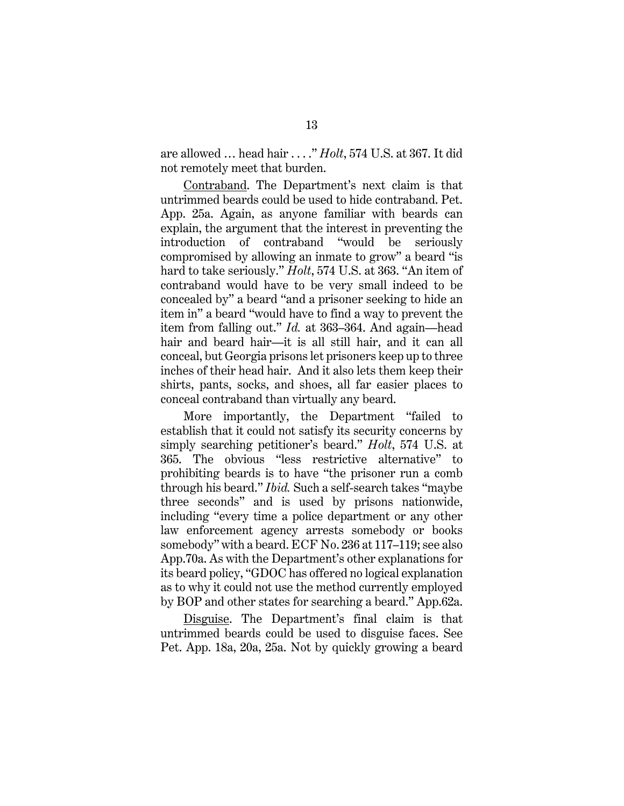are allowed … head hair . . . ." *Holt*, 574 U.S. at 367. It did not remotely meet that burden.

Contraband. The Department's next claim is that untrimmed beards could be used to hide contraband. Pet. App. 25a. Again, as anyone familiar with beards can explain, the argument that the interest in preventing the introduction of contraband "would be seriously compromised by allowing an inmate to grow" a beard "is hard to take seriously." *Holt*, 574 U.S. at 363. "An item of contraband would have to be very small indeed to be concealed by" a beard "and a prisoner seeking to hide an item in" a beard "would have to find a way to prevent the item from falling out." *Id.* at 363–364. And again—head hair and beard hair—it is all still hair, and it can all conceal, but Georgia prisons let prisoners keep up to three inches of their head hair. And it also lets them keep their shirts, pants, socks, and shoes, all far easier places to conceal contraband than virtually any beard.

More importantly, the Department "failed to establish that it could not satisfy its security concerns by simply searching petitioner's beard." *Holt*, 574 U.S. at 365. The obvious "less restrictive alternative" to prohibiting beards is to have "the prisoner run a comb through his beard." *Ibid.* Such a self-search takes "maybe three seconds" and is used by prisons nationwide, including "every time a police department or any other law enforcement agency arrests somebody or books somebody" with a beard. ECF No. 236 at 117–119; see also App.70a. As with the Department's other explanations for its beard policy, "GDOC has offered no logical explanation as to why it could not use the method currently employed by BOP and other states for searching a beard." App.62a.

Disguise. The Department's final claim is that untrimmed beards could be used to disguise faces. See Pet. App. 18a, 20a, 25a. Not by quickly growing a beard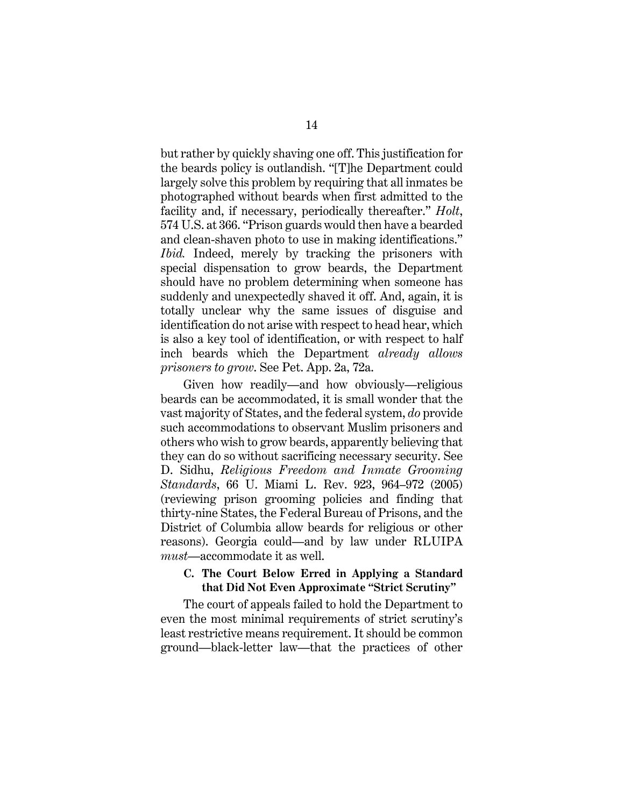but rather by quickly shaving one off. This justification for the beards policy is outlandish. "[T]he Department could largely solve this problem by requiring that all inmates be photographed without beards when first admitted to the facility and, if necessary, periodically thereafter." *Holt*, 574 U.S. at 366. "Prison guards would then have a bearded and clean-shaven photo to use in making identifications." *Ibid.* Indeed, merely by tracking the prisoners with special dispensation to grow beards, the Department should have no problem determining when someone has suddenly and unexpectedly shaved it off. And, again, it is totally unclear why the same issues of disguise and identification do not arise with respect to head hear, which is also a key tool of identification, or with respect to half inch beards which the Department *already allows prisoners to grow*. See Pet. App. 2a, 72a.

Given how readily—and how obviously—religious beards can be accommodated, it is small wonder that the vast majority of States, and the federal system, *do* provide such accommodations to observant Muslim prisoners and others who wish to grow beards, apparently believing that they can do so without sacrificing necessary security. See D. Sidhu, *Religious Freedom and Inmate Grooming Standards*, 66 U. Miami L. Rev. 923, 964–972 (2005) (reviewing prison grooming policies and finding that thirty-nine States, the Federal Bureau of Prisons, and the District of Columbia allow beards for religious or other reasons). Georgia could—and by law under RLUIPA *must*—accommodate it as well.

## **C. The Court Below Erred in Applying a Standard that Did Not Even Approximate "Strict Scrutiny"**

The court of appeals failed to hold the Department to even the most minimal requirements of strict scrutiny's least restrictive means requirement. It should be common ground—black-letter law—that the practices of other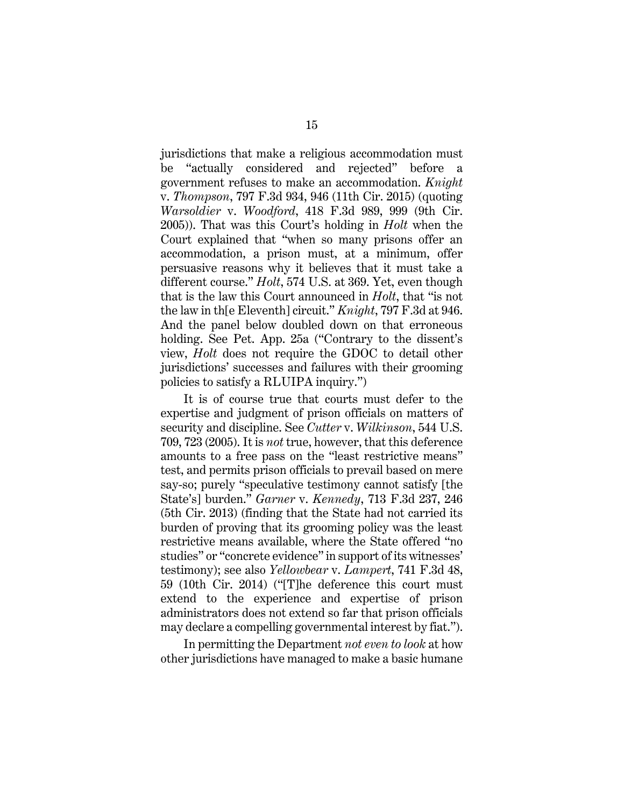jurisdictions that make a religious accommodation must be "actually considered and rejected" before a government refuses to make an accommodation. *Knight*  v. *Thompson*, 797 F.3d 934, 946 (11th Cir. 2015) (quoting *Warsoldier* v. *Woodford*, 418 F.3d 989, 999 (9th Cir. 2005)). That was this Court's holding in *Holt* when the Court explained that "when so many prisons offer an accommodation, a prison must, at a minimum, offer persuasive reasons why it believes that it must take a different course." *Holt*, 574 U.S. at 369. Yet, even though that is the law this Court announced in *Holt*, that "is not the law in th[e Eleventh] circuit." *Knight*, 797 F.3d at 946. And the panel below doubled down on that erroneous holding. See Pet. App. 25a ("Contrary to the dissent's view, *Holt* does not require the GDOC to detail other jurisdictions' successes and failures with their grooming policies to satisfy a RLUIPA inquiry.")

It is of course true that courts must defer to the expertise and judgment of prison officials on matters of security and discipline. See *Cutter* v. *Wilkinson*, 544 U.S. 709, 723 (2005). It is *not* true, however, that this deference amounts to a free pass on the "least restrictive means" test, and permits prison officials to prevail based on mere say-so; purely "speculative testimony cannot satisfy [the State's] burden." *Garner* v. *Kennedy*, 713 F.3d 237, 246 (5th Cir. 2013) (finding that the State had not carried its burden of proving that its grooming policy was the least restrictive means available, where the State offered "no studies" or "concrete evidence" in support of its witnesses' testimony); see also *Yellowbear* v. *Lampert*, 741 F.3d 48, 59 (10th Cir. 2014) ("[T]he deference this court must extend to the experience and expertise of prison administrators does not extend so far that prison officials may declare a compelling governmental interest by fiat.").

In permitting the Department *not even to look* at how other jurisdictions have managed to make a basic humane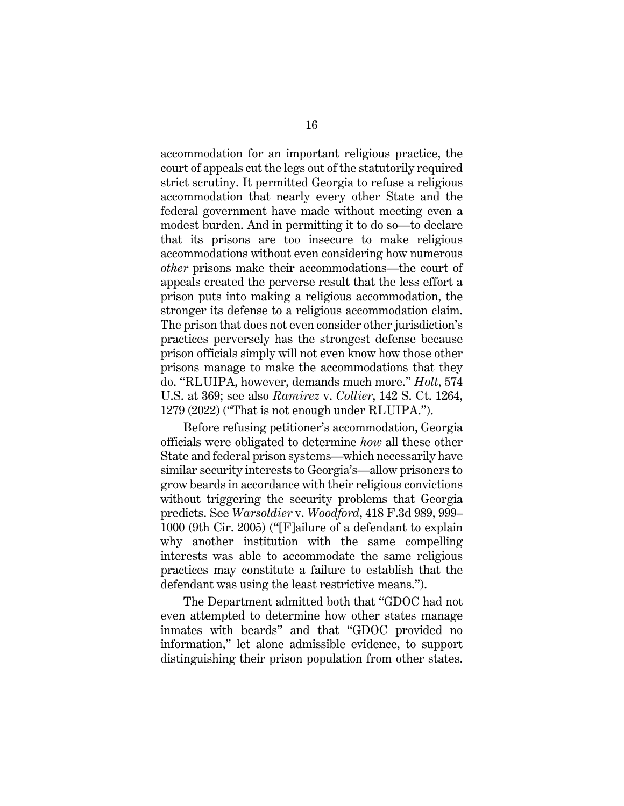accommodation for an important religious practice, the court of appeals cut the legs out of the statutorily required strict scrutiny. It permitted Georgia to refuse a religious accommodation that nearly every other State and the federal government have made without meeting even a modest burden. And in permitting it to do so—to declare that its prisons are too insecure to make religious accommodations without even considering how numerous *other* prisons make their accommodations—the court of appeals created the perverse result that the less effort a prison puts into making a religious accommodation, the stronger its defense to a religious accommodation claim. The prison that does not even consider other jurisdiction's practices perversely has the strongest defense because prison officials simply will not even know how those other prisons manage to make the accommodations that they do. "RLUIPA, however, demands much more." *Holt*, 574 U.S. at 369; see also *Ramirez* v. *Collier*, 142 S. Ct. 1264, 1279 (2022) ("That is not enough under RLUIPA.").

Before refusing petitioner's accommodation, Georgia officials were obligated to determine *how* all these other State and federal prison systems—which necessarily have similar security interests to Georgia's—allow prisoners to grow beards in accordance with their religious convictions without triggering the security problems that Georgia predicts. See *Warsoldier* v. *Woodford*, 418 F.3d 989, 999– 1000 (9th Cir. 2005) ("[F]ailure of a defendant to explain why another institution with the same compelling interests was able to accommodate the same religious practices may constitute a failure to establish that the defendant was using the least restrictive means.").

The Department admitted both that "GDOC had not even attempted to determine how other states manage inmates with beards" and that "GDOC provided no information," let alone admissible evidence, to support distinguishing their prison population from other states.